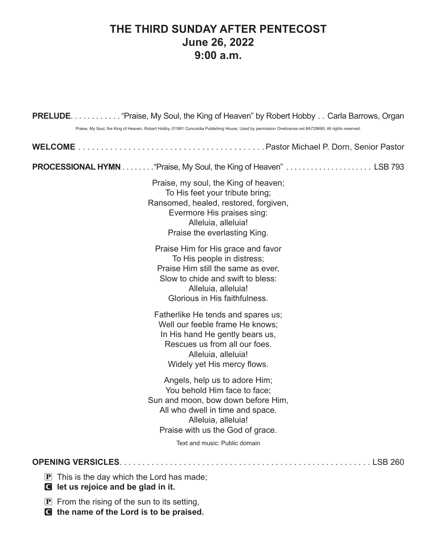# **THE THIRD SUNDAY AFTER PENTECOST June 26, 2022 9:00 a.m.**

|                                                              | Praise, My Soul, the King of Heaven, Robert Hobby, ©1991 Concordia Publishing House, Used by permission Onelicense.net #A729680, All rights reserved.                                                 |  |
|--------------------------------------------------------------|-------------------------------------------------------------------------------------------------------------------------------------------------------------------------------------------------------|--|
|                                                              |                                                                                                                                                                                                       |  |
|                                                              |                                                                                                                                                                                                       |  |
|                                                              | Praise, my soul, the King of heaven;<br>To His feet your tribute bring;<br>Ransomed, healed, restored, forgiven,<br>Evermore His praises sing:<br>Alleluia, alleluia!<br>Praise the everlasting King. |  |
|                                                              | Praise Him for His grace and favor<br>To His people in distress;<br>Praise Him still the same as ever.<br>Slow to chide and swift to bless:<br>Alleluia, alleluia!<br>Glorious in His faithfulness.   |  |
|                                                              | Fatherlike He tends and spares us;<br>Well our feeble frame He knows;<br>In His hand He gently bears us,<br>Rescues us from all our foes.<br>Alleluia, alleluia!<br>Widely yet His mercy flows.       |  |
|                                                              | Angels, help us to adore Him;<br>You behold Him face to face;<br>Sun and moon, bow down before Him,<br>All who dwell in time and space.<br>Alleluia, alleluia!<br>Praise with us the God of grace.    |  |
|                                                              | Text and music: Public domain                                                                                                                                                                         |  |
|                                                              |                                                                                                                                                                                                       |  |
| $ \mathbf{P} $<br><b>G</b> let us rejoice and be glad in it. | This is the day which the Lord has made;                                                                                                                                                              |  |

 $\mathbf{P}$  From the rising of the sun to its setting,

C **the name of the Lord is to be praised.**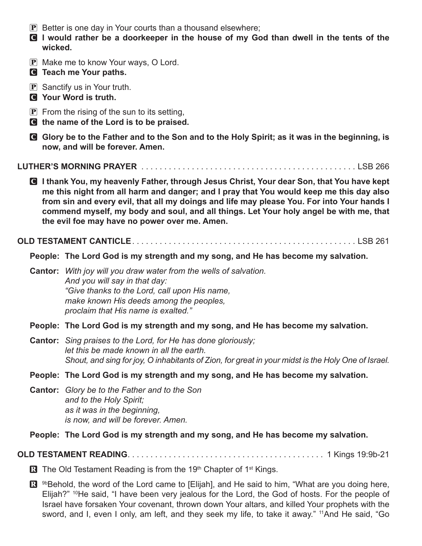- $\mathbf{P}$  Better is one day in Your courts than a thousand elsewhere;
- C **I would rather be a doorkeeper in the house of my God than dwell in the tents of the wicked.**
- P Make me to know Your ways, O Lord.
- C **Teach me Your paths.**
- $\overline{P}$  Sanctify us in Your truth.
- C **Your Word is truth.**
- $\bf{P}$  From the rising of the sun to its setting,
- C **the name of the Lord is to be praised.**
- C **Glory be to the Father and to the Son and to the Holy Spirit; as it was in the beginning, is now, and will be forever. Amen.**

### **LUTHER'S MORNING PRAYER** . . . . . . . . . . . . ................................... LSB 266

C **I thank You, my heavenly Father, through Jesus Christ, Your dear Son, that You have kept me this night from all harm and danger; and I pray that You would keep me this day also from sin and every evil, that all my doings and life may please You. For into Your hands I commend myself, my body and soul, and all things. Let Your holy angel be with me, that the evil foe may have no power over me. Amen.**

### **OLD TESTAMENT CANTICLE** . . . . . . . . . . . . . . ................................... LSB 261

**People: The Lord God is my strength and my song, and He has become my salvation.**

**Cantor:** *With joy will you draw water from the wells of salvation. And you will say in that day: "Give thanks to the Lord, call upon His name, make known His deeds among the peoples, proclaim that His name is exalted."*

### **People: The Lord God is my strength and my song, and He has become my salvation.**

**Cantor:** *Sing praises to the Lord, for He has done gloriously; let this be made known in all the earth. Shout, and sing for joy, O inhabitants of Zion, for great in your midst is the Holy One of Israel.*

### **People: The Lord God is my strength and my song, and He has become my salvation.**

**Cantor:** *Glory be to the Father and to the Son and to the Holy Spirit; as it was in the beginning, is now, and will be forever. Amen.*

### **People: The Lord God is my strength and my song, and He has become my salvation.**

### **OLD TESTAMENT READING** . . . . . . . . . . . . . . . ............................ 1 Kings 19:9b-21

- $\mathbb{R}$  The Old Testament Reading is from the 19<sup>th</sup> Chapter of 1<sup>st</sup> Kings.
- $\mathbb{R}$  <sup>9b</sup>Behold, the word of the Lord came to [Elijah], and He said to him, "What are you doing here, Elijah?" 10He said, "I have been very jealous for the Lord, the God of hosts. For the people of Israel have forsaken Your covenant, thrown down Your altars, and killed Your prophets with the sword, and I, even I only, am left, and they seek my life, to take it away." <sup>11</sup>And He said, "Go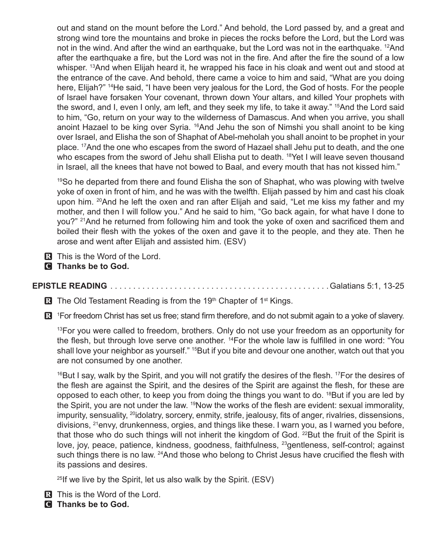out and stand on the mount before the Lord." And behold, the Lord passed by, and a great and strong wind tore the mountains and broke in pieces the rocks before the Lord, but the Lord was not in the wind. And after the wind an earthquake, but the Lord was not in the earthquake.  $^{12}$ And after the earthquake a fire, but the Lord was not in the fire. And after the fire the sound of a low whisper. <sup>13</sup>And when Elijah heard it, he wrapped his face in his cloak and went out and stood at the entrance of the cave. And behold, there came a voice to him and said, "What are you doing here, Elijah?" <sup>14</sup>He said, "I have been very jealous for the Lord, the God of hosts. For the people of Israel have forsaken Your covenant, thrown down Your altars, and killed Your prophets with the sword, and I, even I only, am left, and they seek my life, to take it away." 15And the Lord said to him, "Go, return on your way to the wilderness of Damascus. And when you arrive, you shall anoint Hazael to be king over Syria. <sup>16</sup>And Jehu the son of Nimshi you shall anoint to be king over Israel, and Elisha the son of Shaphat of Abel-meholah you shall anoint to be prophet in your place. 17And the one who escapes from the sword of Hazael shall Jehu put to death, and the one who escapes from the sword of Jehu shall Elisha put to death. <sup>18</sup>Yet I will leave seven thousand in Israel, all the knees that have not bowed to Baal, and every mouth that has not kissed him."

<sup>19</sup>So he departed from there and found Elisha the son of Shaphat, who was plowing with twelve yoke of oxen in front of him, and he was with the twelfth. Elijah passed by him and cast his cloak upon him. 20And he left the oxen and ran after Elijah and said, "Let me kiss my father and my mother, and then I will follow you." And he said to him, "Go back again, for what have I done to you?" 21And he returned from following him and took the yoke of oxen and sacrificed them and boiled their flesh with the yokes of the oxen and gave it to the people, and they ate. Then he arose and went after Elijah and assisted him. (ESV)

- R This is the Word of the Lord.
- C **Thanks be to God.**

### **EPISTLE READING** . . . . . . . . . . . . . . . . . . . . . . ..........................Galatians 5:1, 13-25

R The Old Testament Reading is from the 19<sup>th</sup> Chapter of 1<sup>st</sup> Kings.

R <sup>1</sup> For freedom Christ has set us free; stand firm therefore, and do not submit again to a yoke of slavery.

<sup>13</sup>For you were called to freedom, brothers. Only do not use your freedom as an opportunity for the flesh, but through love serve one another. <sup>14</sup>For the whole law is fulfilled in one word: "You shall love your neighbor as yourself." <sup>15</sup>But if you bite and devour one another, watch out that you are not consumed by one another.

 $16$ But I say, walk by the Spirit, and you will not gratify the desires of the flesh.  $17$  For the desires of the flesh are against the Spirit, and the desires of the Spirit are against the flesh, for these are opposed to each other, to keep you from doing the things you want to do.  $^{18}$ But if you are led by the Spirit, you are not under the law. <sup>19</sup>Now the works of the flesh are evident: sexual immorality, impurity, sensuality, <sup>20</sup>idolatry, sorcery, enmity, strife, jealousy, fits of anger, rivalries, dissensions, divisions, 21envy, drunkenness, orgies, and things like these. I warn you, as I warned you before, that those who do such things will not inherit the kingdom of God. <sup>22</sup>But the fruit of the Spirit is love, joy, peace, patience, kindness, goodness, faithfulness, <sup>23</sup>gentleness, self-control; against such things there is no law. <sup>24</sup>And those who belong to Christ Jesus have crucified the flesh with its passions and desires.

25If we live by the Spirit, let us also walk by the Spirit. (ESV)

- R This is the Word of the Lord.
- C **Thanks be to God.**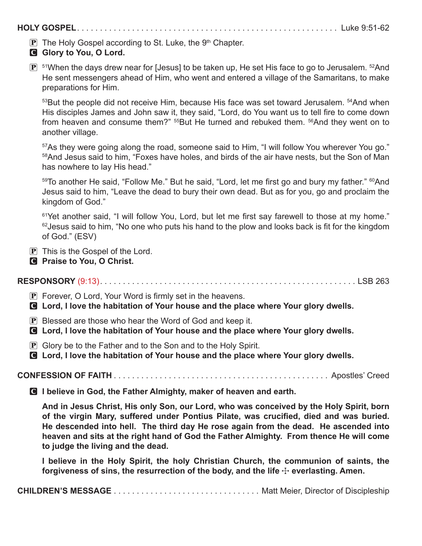**HOLY GOSPEL** . . . . . . . . . . . . . . . . . . . . . . . . . . ............................... Luke 9:51-62

- $\mathbf{P}$  The Holy Gospel according to St. Luke, the 9<sup>th</sup> Chapter.
- C **Glory to You, O Lord.**
- $\mathbb{P}$  <sup>51</sup>When the days drew near for [Jesus] to be taken up, He set His face to go to Jerusalem. <sup>52</sup>And He sent messengers ahead of Him, who went and entered a village of the Samaritans, to make preparations for Him.

53But the people did not receive Him, because His face was set toward Jerusalem. 54And when His disciples James and John saw it, they said, "Lord, do You want us to tell fire to come down from heaven and consume them?" <sup>55</sup>But He turned and rebuked them. <sup>56</sup>And they went on to another village.

<sup>57</sup>As they were going along the road, someone said to Him, "I will follow You wherever You go." 58And Jesus said to him, "Foxes have holes, and birds of the air have nests, but the Son of Man has nowhere to lay His head."

<sup>59</sup>To another He said, "Follow Me." But he said, "Lord, let me first go and bury my father." <sup>60</sup>And Jesus said to him, "Leave the dead to bury their own dead. But as for you, go and proclaim the kingdom of God."

<sup>61</sup>Yet another said, "I will follow You, Lord, but let me first say farewell to those at my home."  $62$  Jesus said to him, "No one who puts his hand to the plow and looks back is fit for the kingdom of God." (ESV)

 $\boxed{\mathbf{P}}$  This is the Gospel of the Lord.

C **Praise to You, O Christ.**

**RESPONSORY** (9:13) . . . . . . . . . . . . . . . . . . . . . ................................... LSB 263

- $\mathbf{P}$  Forever, O Lord, Your Word is firmly set in the heavens.
- C **Lord, I love the habitation of Your house and the place where Your glory dwells.**
- $\mathbf{P}$  Blessed are those who hear the Word of God and keep it.
- C **Lord, I love the habitation of Your house and the place where Your glory dwells.**
- $\mathbf{P}$  Glory be to the Father and to the Son and to the Holy Spirit.
- C **Lord, I love the habitation of Your house and the place where Your glory dwells.**

**CONFESSION OF FAITH** . . . . . . . . . . . . . . . . . . ............................. Apostles' Creed

C **I believe in God, the Father Almighty, maker of heaven and earth.**

**And in Jesus Christ, His only Son, our Lord, who was conceived by the Holy Spirit, born of the virgin Mary, suffered under Pontius Pilate, was crucified, died and was buried. He descended into hell. The third day He rose again from the dead. He ascended into heaven and sits at the right hand of God the Father Almighty. From thence He will come to judge the living and the dead.**

**I believe in the Holy Spirit, the holy Christian Church, the communion of saints, the**  forgiveness of sins, the resurrection of the body, and the life  $\pm$  everlasting. Amen.

**CHILDREN'S MESSAGE** . . . . . . . . . . . . . . . . . . .............. Matt Meier, Director of Discipleship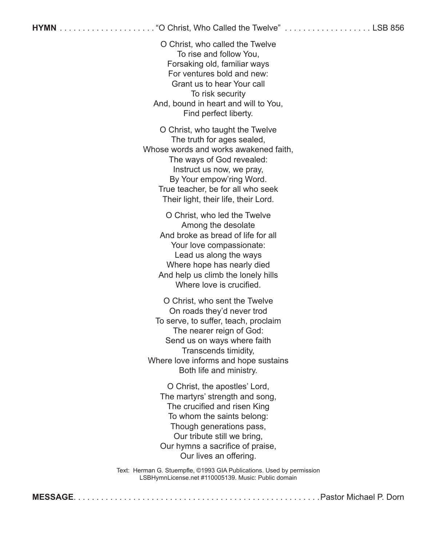| O Christ, who called the Twelve<br>To rise and follow You,<br>Forsaking old, familiar ways<br>For ventures bold and new:<br>Grant us to hear Your call<br>To risk security<br>And, bound in heart and will to You,<br>Find perfect liberty.                               |  |
|---------------------------------------------------------------------------------------------------------------------------------------------------------------------------------------------------------------------------------------------------------------------------|--|
| O Christ, who taught the Twelve<br>The truth for ages sealed,<br>Whose words and works awakened faith,<br>The ways of God revealed:<br>Instruct us now, we pray,<br>By Your empow'ring Word.<br>True teacher, be for all who seek<br>Their light, their life, their Lord. |  |
| O Christ, who led the Twelve<br>Among the desolate<br>And broke as bread of life for all<br>Your love compassionate:<br>Lead us along the ways<br>Where hope has nearly died<br>And help us climb the lonely hills<br>Where love is crucified.                            |  |
| O Christ, who sent the Twelve<br>On roads they'd never trod<br>To serve, to suffer, teach, proclaim<br>The nearer reign of God:<br>Send us on ways where faith<br>Transcends timidity,<br>Where love informs and hope sustains<br>Both life and ministry.                 |  |
| O Christ, the apostles' Lord,<br>The martyrs' strength and song,<br>The crucified and risen King<br>To whom the saints belong:<br>Though generations pass,<br>Our tribute still we bring,<br>Our hymns a sacrifice of praise,<br>Our lives an offering.                   |  |
| Text: Herman G. Stuempfle, ©1993 GIA Publications. Used by permission<br>LSBHymnLicense.net #110005139. Music: Public domain                                                                                                                                              |  |
|                                                                                                                                                                                                                                                                           |  |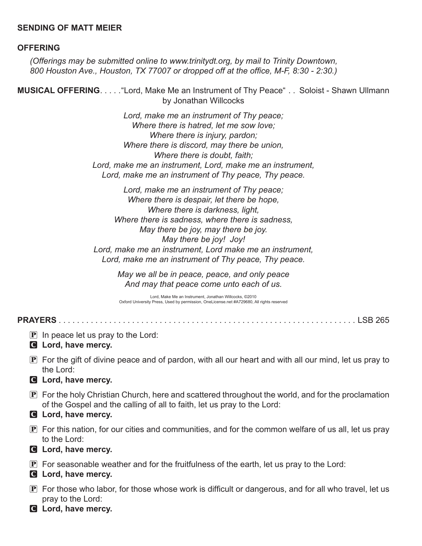#### **SENDING OF MATT MEIER**

#### **OFFERING**

*(Offerings may be submitted online to www.trinitydt.org, by mail to Trinity Downtown, 800 Houston Ave., Houston, TX 77007 or dropped off at the office, M-F, 8:30 - 2:30.)*

**MUSICAL OFFERING** . . . . "Lord, Make Me an Instrument of Thy Peace" . . Soloist - Shawn Ullmann by Jonathan Willcocks

> *Lord, make me an instrument of Thy peace; Where there is hatred, let me sow love; Where there is injury, pardon; Where there is discord, may there be union, Where there is doubt, faith; Lord, make me an instrument, Lord, make me an instrument, Lord, make me an instrument of Thy peace, Thy peace.*

> *Lord, make me an instrument of Thy peace; Where there is despair, let there be hope, Where there is darkness, light, Where there is sadness, where there is sadness, May there be joy, may there be joy. May there be joy! Joy! Lord, make me an instrument, Lord make me an instrument, Lord, make me an instrument of Thy peace, Thy peace.*

> > *May we all be in peace, peace, and only peace And may that peace come unto each of us.*

Lord, Make Me an Instrument, Jonathan Willcocks, ©2010 Oxford University Press, Used by permission, OneLicense.net #A729680, All rights reserved

**PRAYERS** . . . . . . . . . . . . . . . . . . . . . . . . . . . . . . ................................... LSB 265

- $\mathbf{P}$  In peace let us pray to the Lord:
- C **Lord, have mercy.**
- $\mathbf P$  For the gift of divine peace and of pardon, with all our heart and with all our mind, let us pray to the Lord:
- C **Lord, have mercy.**
- $\bf{P}$  For the holy Christian Church, here and scattered throughout the world, and for the proclamation of the Gospel and the calling of all to faith, let us pray to the Lord:
- C **Lord, have mercy.**
- $\mathbf{P}$  For this nation, for our cities and communities, and for the common welfare of us all, let us pray to the Lord:
- C **Lord, have mercy.**
- $\mathbf{P}$  For seasonable weather and for the fruitfulness of the earth, let us pray to the Lord:

### C **Lord, have mercy.**

- $\mathbf P$  For those who labor, for those whose work is difficult or dangerous, and for all who travel, let us pray to the Lord:
- C **Lord, have mercy.**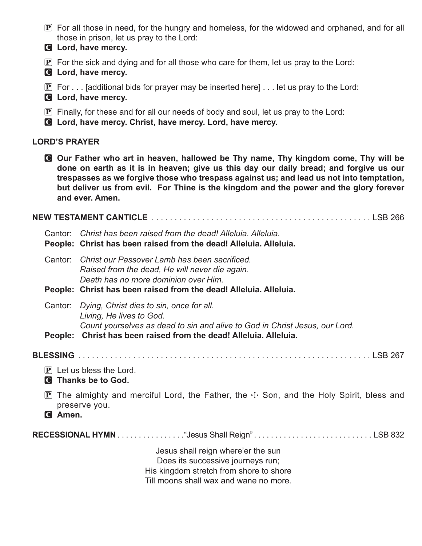- $\mathbf{P}$  For all those in need, for the hungry and homeless, for the widowed and orphaned, and for all those in prison, let us pray to the Lord:
- C **Lord, have mercy.**
- $\mathbf{P}$  For the sick and dying and for all those who care for them, let us pray to the Lord:
- C **Lord, have mercy.**
- $\mathbf{P}$  For ... [additional bids for prayer may be inserted here] ... let us pray to the Lord:
- C **Lord, have mercy.**
- $\mathbf{P}$  Finally, for these and for all our needs of body and soul, let us pray to the Lord:
- C **Lord, have mercy. Christ, have mercy. Lord, have mercy.**

## **LORD'S PRAYER**

C **Our Father who art in heaven, hallowed be Thy name, Thy kingdom come, Thy will be done on earth as it is in heaven; give us this day our daily bread; and forgive us our trespasses as we forgive those who trespass against us; and lead us not into temptation, but deliver us from evil. For Thine is the kingdom and the power and the glory forever and ever. Amen.**

**NEW TESTAMENT CANTICLE** . . . . . . . . . . . . . ................................... LSB 266

- Cantor: *Christ has been raised from the dead! Alleluia. Alleluia.*
- **People: Christ has been raised from the dead! Alleluia. Alleluia.**
- Cantor: *Christ our Passover Lamb has been sacrificed. Raised from the dead, He will never die again. Death has no more dominion over Him.*
- **People: Christ has been raised from the dead! Alleluia. Alleluia.**
- Cantor: *Dying, Christ dies to sin, once for all. Living, He lives to God. Count yourselves as dead to sin and alive to God in Christ Jesus, our Lord.*
- **People: Christ has been raised from the dead! Alleluia. Alleluia.**
- **BLESSING** . . . . . . . . . . . . . . . . . . . . . . . . . . . . . ................................... LSB 267
	- $\boxed{\mathbf{P}}$  Let us bless the Lord.
	- C **Thanks be to God.**
	- **P** The almighty and merciful Lord, the Father, the  $\pm$  Son, and the Holy Spirit, bless and preserve you.
	- C **Amen.**

**RECESSIONAL HYMN** . . . . . . . . . . . . . . . "Jesus Shall Reign" . . . . . . . . . . . . . . . . . . . . . . . . . . . . LSB 832

Jesus shall reign where'er the sun Does its successive journeys run; His kingdom stretch from shore to shore Till moons shall wax and wane no more.